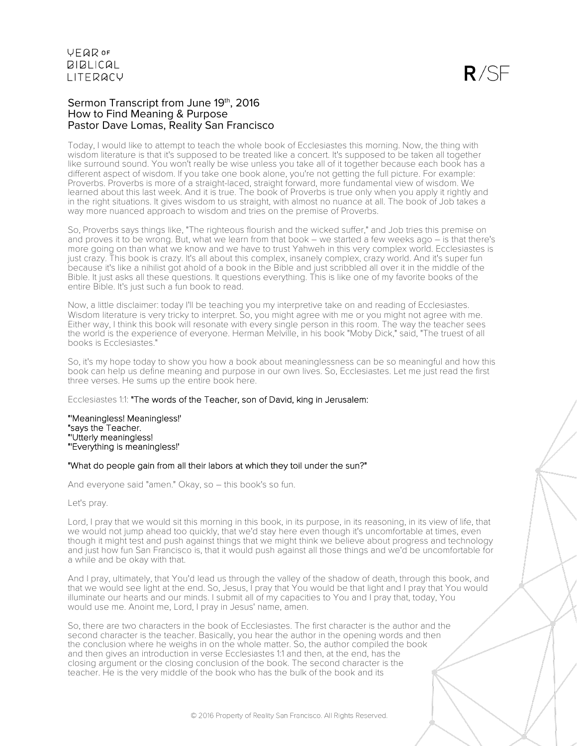### Sermon Transcript from June 19th, 2016 How to Find Meaning & Purpose Pastor Dave Lomas, Reality San Francisco

Today, I would like to attempt to teach the whole book of Ecclesiastes this morning. Now, the thing with wisdom literature is that it's supposed to be treated like a concert. It's supposed to be taken all together like surround sound. You won't really be wise unless you take all of it together because each book has a different aspect of wisdom. If you take one book alone, you're not getting the full picture. For example: Proverbs. Proverbs is more of a straight-laced, straight forward, more fundamental view of wisdom. We learned about this last week. And it is true. The book of Proverbs is true only when you apply it rightly and in the right situations. It gives wisdom to us straight, with almost no nuance at all. The book of Job takes a way more nuanced approach to wisdom and tries on the premise of Proverbs.

So, Proverbs says things like, "The righteous flourish and the wicked suffer," and Job tries this premise on and proves it to be wrong. But, what we learn from that book – we started a few weeks ago – is that there's more going on than what we know and we have to trust Yahweh in this very complex world. Ecclesiastes is just crazy. This book is crazy. It's all about this complex, insanely complex, crazy world. And it's super fun because it's like a nihilist got ahold of a book in the Bible and just scribbled all over it in the middle of the Bible. It just asks all these questions. It questions everything. This is like one of my favorite books of the entire Bible. It's just such a fun book to read.

Now, a little disclaimer: today I'll be teaching you my interpretive take on and reading of Ecclesiastes. Wisdom literature is very tricky to interpret. So, you might agree with me or you might not agree with me. Either way, I think this book will resonate with every single person in this room. The way the teacher sees the world is the experience of everyone. Herman Melville, in his book "Moby Dick," said, "The truest of all books is Ecclesiastes."

So, it's my hope today to show you how a book about meaninglessness can be so meaningful and how this book can help us define meaning and purpose in our own lives. So, Ecclesiastes. Let me just read the first three verses. He sums up the entire book here.

Ecclesiastes 1:1: "The words of the Teacher, son of David, king in Jerusalem:

"'Meaningless! Meaningless!' "says the Teacher. "'Utterly meaningless! "'Everything is meaningless!'

#### "What do people gain from all their labors at which they toil under the sun?"

And everyone said "amen." Okay, so – this book's so fun.

Let's pray.

Lord, I pray that we would sit this morning in this book, in its purpose, in its reasoning, in its view of life, that we would not jump ahead too quickly, that we'd stay here even though it's uncomfortable at times, even though it might test and push against things that we might think we believe about progress and technology and just how fun San Francisco is, that it would push against all those things and we'd be uncomfortable for a while and be okay with that.

And I pray, ultimately, that You'd lead us through the valley of the shadow of death, through this book, and that we would see light at the end. So, Jesus, I pray that You would be that light and I pray that You would illuminate our hearts and our minds. I submit all of my capacities to You and I pray that, today, You would use me. Anoint me, Lord, I pray in Jesus' name, amen.

So, there are two characters in the book of Ecclesiastes. The first character is the author and the second character is the teacher. Basically, you hear the author in the opening words and then the conclusion where he weighs in on the whole matter. So, the author compiled the book and then gives an introduction in verse Ecclesiastes 1:1 and then, at the end, has the closing argument or the closing conclusion of the book. The second character is the teacher. He is the very middle of the book who has the bulk of the book and its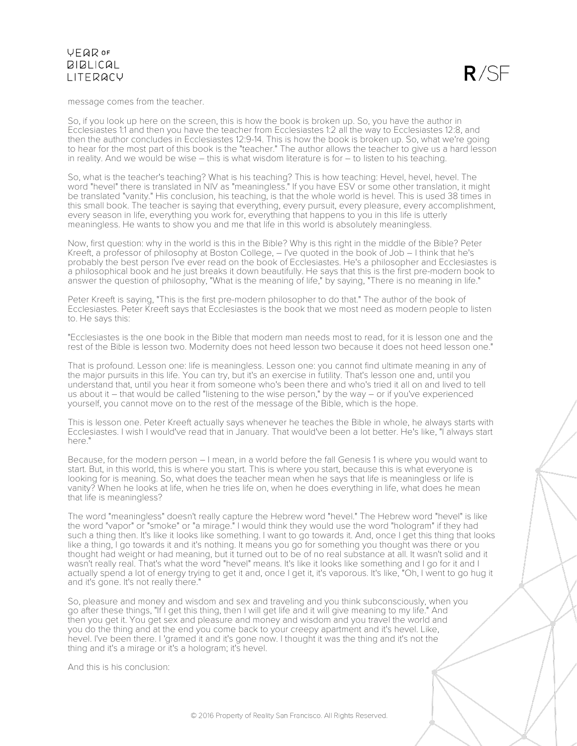

message comes from the teacher.

So, if you look up here on the screen, this is how the book is broken up. So, you have the author in Ecclesiastes 1:1 and then you have the teacher from Ecclesiastes 1:2 all the way to Ecclesiastes 12:8, and then the author concludes in Ecclesiastes 12:9-14. This is how the book is broken up. So, what we're going to hear for the most part of this book is the "teacher." The author allows the teacher to give us a hard lesson in reality. And we would be wise – this is what wisdom literature is for – to listen to his teaching.

So, what is the teacher's teaching? What is his teaching? This is how teaching: Hevel, hevel, hevel. The word "hevel" there is translated in NIV as "meaningless." If you have ESV or some other translation, it might be translated "vanity." His conclusion, his teaching, is that the whole world is hevel. This is used 38 times in this small book. The teacher is saying that everything, every pursuit, every pleasure, every accomplishment, every season in life, everything you work for, everything that happens to you in this life is utterly meaningless. He wants to show you and me that life in this world is absolutely meaningless.

Now, first question: why in the world is this in the Bible? Why is this right in the middle of the Bible? Peter Kreeft, a professor of philosophy at Boston College, – I've quoted in the book of Job – I think that he's probably the best person I've ever read on the book of Ecclesiastes. He's a philosopher and Ecclesiastes is a philosophical book and he just breaks it down beautifully. He says that this is the first pre-modern book to answer the question of philosophy, "What is the meaning of life," by saying, "There is no meaning in life."

Peter Kreeft is saying, "This is the first pre-modern philosopher to do that." The author of the book of Ecclesiastes. Peter Kreeft says that Ecclesiastes is the book that we most need as modern people to listen to. He says this:

"Ecclesiastes is the one book in the Bible that modern man needs most to read, for it is lesson one and the rest of the Bible is lesson two. Modernity does not heed lesson two because it does not heed lesson one."

That is profound. Lesson one: life is meaningless. Lesson one: you cannot find ultimate meaning in any of the major pursuits in this life. You can try, but it's an exercise in futility. That's lesson one and, until you understand that, until you hear it from someone who's been there and who's tried it all on and lived to tell us about it – that would be called "listening to the wise person," by the way – or if you've experienced yourself, you cannot move on to the rest of the message of the Bible, which is the hope.

This is lesson one. Peter Kreeft actually says whenever he teaches the Bible in whole, he always starts with Ecclesiastes. I wish I would've read that in January. That would've been a lot better. He's like, "I always start here."

Because, for the modern person – I mean, in a world before the fall Genesis 1 is where you would want to start. But, in this world, this is where you start. This is where you start, because this is what everyone is looking for is meaning. So, what does the teacher mean when he says that life is meaningless or life is vanity? When he looks at life, when he tries life on, when he does everything in life, what does he mean that life is meaningless?

The word "meaningless" doesn't really capture the Hebrew word "hevel." The Hebrew word "hevel" is like the word "vapor" or "smoke" or "a mirage." I would think they would use the word "hologram" if they had such a thing then. It's like it looks like something. I want to go towards it. And, once I get this thing that looks like a thing, I go towards it and it's nothing. It means you go for something you thought was there or you thought had weight or had meaning, but it turned out to be of no real substance at all. It wasn't solid and it wasn't really real. That's what the word "hevel" means. It's like it looks like something and I go for it and I actually spend a lot of energy trying to get it and, once I get it, it's vaporous. It's like, "Oh, I went to go hug it and it's gone. It's not really there."

So, pleasure and money and wisdom and sex and traveling and you think subconsciously, when you go after these things, "If I get this thing, then I will get life and it will give meaning to my life." And then you get it. You get sex and pleasure and money and wisdom and you travel the world and you do the thing and at the end you come back to your creepy apartment and it's hevel. Like, hevel. I've been there. I 'gramed it and it's gone now. I thought it was the thing and it's not the thing and it's a mirage or it's a hologram; it's hevel.

And this is his conclusion: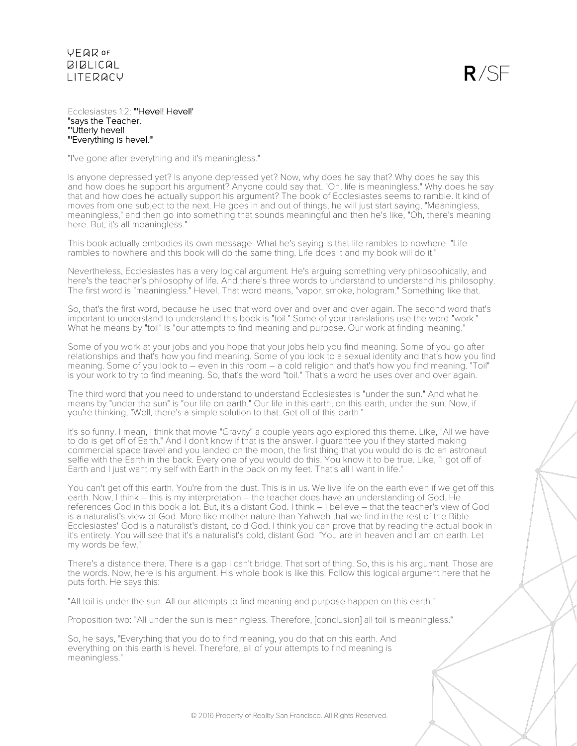$R/SF$ 

#### Ecclesiastes 1:2: "Hevel! Hevel!' "says the Teacher. "'Utterly hevel! "'Everything is hevel.'"

"I've gone after everything and it's meaningless."

Is anyone depressed yet? Is anyone depressed yet? Now, why does he say that? Why does he say this and how does he support his argument? Anyone could say that. "Oh, life is meaningless." Why does he say that and how does he actually support his argument? The book of Ecclesiastes seems to ramble. It kind of moves from one subject to the next. He goes in and out of things, he will just start saying, "Meaningless, meaningless," and then go into something that sounds meaningful and then he's like, "Oh, there's meaning here. But, it's all meaningless."

This book actually embodies its own message. What he's saying is that life rambles to nowhere. "Life rambles to nowhere and this book will do the same thing. Life does it and my book will do it."

Nevertheless, Ecclesiastes has a very logical argument. He's arguing something very philosophically, and here's the teacher's philosophy of life. And there's three words to understand to understand his philosophy. The first word is "meaningless." Hevel. That word means, "vapor, smoke, hologram." Something like that.

So, that's the first word, because he used that word over and over and over again. The second word that's important to understand to understand this book is "toil." Some of your translations use the word "work." What he means by "toil" is "our attempts to find meaning and purpose. Our work at finding meaning."

Some of you work at your jobs and you hope that your jobs help you find meaning. Some of you go after relationships and that's how you find meaning. Some of you look to a sexual identity and that's how you find meaning. Some of you look to – even in this room – a cold religion and that's how you find meaning. "Toil" is your work to try to find meaning. So, that's the word "toil." That's a word he uses over and over again.

The third word that you need to understand to understand Ecclesiastes is "under the sun." And what he means by "under the sun" is "our life on earth." Our life in this earth, on this earth, under the sun. Now, if you're thinking, "Well, there's a simple solution to that. Get off of this earth."

It's so funny. I mean, I think that movie "Gravity" a couple years ago explored this theme. Like, "All we have to do is get off of Earth." And I don't know if that is the answer. I guarantee you if they started making commercial space travel and you landed on the moon, the first thing that you would do is do an astronaut selfie with the Earth in the back. Every one of you would do this. You know it to be true. Like, "I got off of Earth and I just want my self with Earth in the back on my feet. That's all I want in life."

You can't get off this earth. You're from the dust. This is in us. We live life on the earth even if we get off this earth. Now, I think – this is my interpretation – the teacher does have an understanding of God. He references God in this book a lot. But, it's a distant God. I think – I believe – that the teacher's view of God is a naturalist's view of God. More like mother nature than Yahweh that we find in the rest of the Bible. Ecclesiastes' God is a naturalist's distant, cold God. I think you can prove that by reading the actual book in it's entirety. You will see that it's a naturalist's cold, distant God. "You are in heaven and I am on earth. Let my words be few."

There's a distance there. There is a gap I can't bridge. That sort of thing. So, this is his argument. Those are the words. Now, here is his argument. His whole book is like this. Follow this logical argument here that he puts forth. He says this:

"All toil is under the sun. All our attempts to find meaning and purpose happen on this earth."

Proposition two: "All under the sun is meaningless. Therefore, [conclusion] all toil is meaningless."

So, he says, "Everything that you do to find meaning, you do that on this earth. And everything on this earth is hevel. Therefore, all of your attempts to find meaning is meaningless."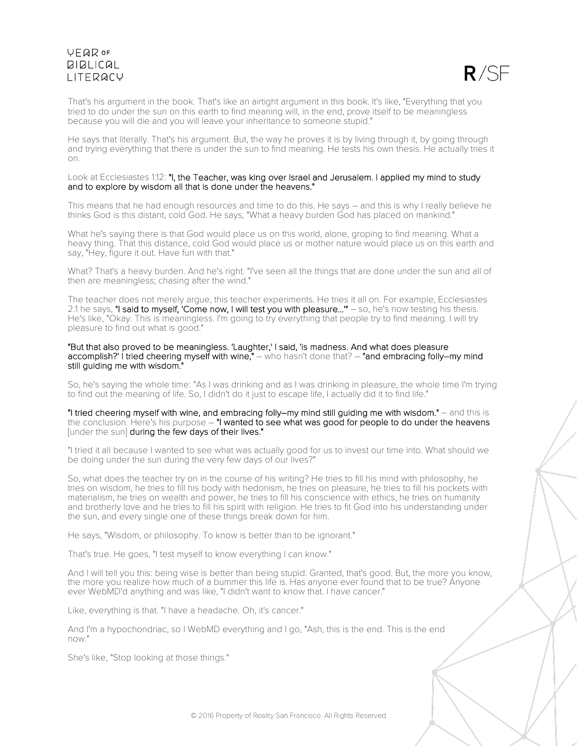

That's his argument in the book. That's like an airtight argument in this book. It's like, "Everything that you tried to do under the sun on this earth to find meaning will, in the end, prove itself to be meaningless because you will die and you will leave your inheritance to someone stupid."

He says that literally. That's his argument. But, the way he proves it is by living through it, by going through and trying everything that there is under the sun to find meaning. He tests his own thesis. He actually tries it on.

#### Look at Ecclesiastes 1:12: "I, the Teacher, was king over Israel and Jerusalem. I applied my mind to study and to explore by wisdom all that is done under the heavens."

This means that he had enough resources and time to do this. He says – and this is why I really believe he thinks God is this distant, cold God. He says, "What a heavy burden God has placed on mankind."

What he's saying there is that God would place us on this world, alone, groping to find meaning. What a heavy thing. That this distance, cold God would place us or mother nature would place us on this earth and say, "Hey, figure it out. Have fun with that."

What? That's a heavy burden. And he's right. "I've seen all the things that are done under the sun and all of then are meaningless; chasing after the wind."

The teacher does not merely argue, this teacher experiments. He tries it all on. For example, Ecclesiastes 2:1 he says, "I said to myself, 'Come now, I will test you with pleasure..." - so, he's now testing his thesis. He's like, "Okay. This is meaningless. I'm going to try everything that people try to find meaning. I will try pleasure to find out what is good."

"But that also proved to be meaningless. 'Laughter,' I said, 'is madness. And what does pleasure accomplish?' I tried cheering myself with wine," – who hasn't done that? – "and embracing folly–my mind still guiding me with wisdom."

So, he's saying the whole time: "As I was drinking and as I was drinking in pleasure, the whole time I'm trying to find out the meaning of life. So, I didn't do it just to escape life, I actually did it to find life."

"I tried cheering myself with wine, and embracing folly–my mind still guiding me with wisdom." – and this is the conclusion. Here's his purpose – "I wanted to see what was good for people to do under the heavens [under the sun] during the few days of their lives."

"I tried it all because I wanted to see what was actually good for us to invest our time into. What should we be doing under the sun during the very few days of our lives?"

So, what does the teacher try on in the course of his writing? He tries to fill his mind with philosophy, he tries on wisdom, he tries to fill his body with hedonism, he tries on pleasure, he tries to fill his pockets with materialism, he tries on wealth and power, he tries to fill his conscience with ethics, he tries on humanity and brotherly love and he tries to fill his spirit with religion. He tries to fit God into his understanding under the sun, and every single one of these things break down for him.

He says, "Wisdom, or philosophy. To know is better than to be ignorant."

That's true. He goes, "I test myself to know everything I can know."

And I will tell you this: being wise is better than being stupid. Granted, that's good. But, the more you know, the more you realize how much of a bummer this life is. Has anyone ever found that to be true? Anyone ever WebMD'd anything and was like, "I didn't want to know that. I have cancer."

Like, everything is that. "I have a headache. Oh, it's cancer."

And I'm a hypochondriac, so I WebMD everything and I go, "Ash, this is the end. This is the end now."

She's like, "Stop looking at those things."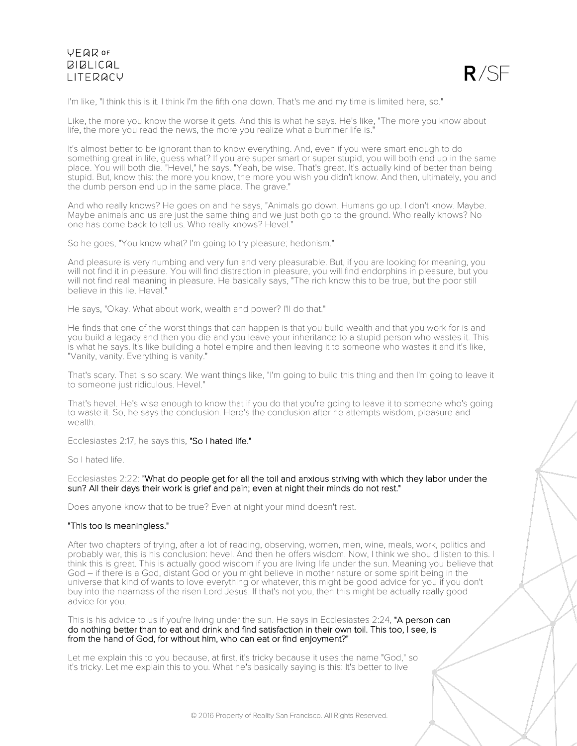$R/SF$ 

I'm like, "I think this is it. I think I'm the fifth one down. That's me and my time is limited here, so."

Like, the more you know the worse it gets. And this is what he says. He's like, "The more you know about life, the more you read the news, the more you realize what a bummer life is."

It's almost better to be ignorant than to know everything. And, even if you were smart enough to do something great in life, guess what? If you are super smart or super stupid, you will both end up in the same place. You will both die. "Hevel," he says. "Yeah, be wise. That's great. It's actually kind of better than being stupid. But, know this: the more you know, the more you wish you didn't know. And then, ultimately, you and the dumb person end up in the same place. The grave."

And who really knows? He goes on and he says, "Animals go down. Humans go up. I don't know. Maybe. Maybe animals and us are just the same thing and we just both go to the ground. Who really knows? No one has come back to tell us. Who really knows? Hevel."

So he goes, "You know what? I'm going to try pleasure; hedonism."

And pleasure is very numbing and very fun and very pleasurable. But, if you are looking for meaning, you will not find it in pleasure. You will find distraction in pleasure, you will find endorphins in pleasure, but you will not find real meaning in pleasure. He basically says, "The rich know this to be true, but the poor still believe in this lie. Hevel."

He says, "Okay. What about work, wealth and power? I'll do that."

He finds that one of the worst things that can happen is that you build wealth and that you work for is and you build a legacy and then you die and you leave your inheritance to a stupid person who wastes it. This is what he says. It's like building a hotel empire and then leaving it to someone who wastes it and it's like, "Vanity, vanity. Everything is vanity."

That's scary. That is so scary. We want things like, "I'm going to build this thing and then I'm going to leave it to someone just ridiculous. Hevel."

That's hevel. He's wise enough to know that if you do that you're going to leave it to someone who's going to waste it. So, he says the conclusion. Here's the conclusion after he attempts wisdom, pleasure and wealth.

Ecclesiastes 2:17, he says this, "So I hated life."

So I hated life.

Ecclesiastes 2:22: "What do people get for all the toil and anxious striving with which they labor under the sun? All their days their work is grief and pain; even at night their minds do not rest."

Does anyone know that to be true? Even at night your mind doesn't rest.

#### "This too is meaningless."

After two chapters of trying, after a lot of reading, observing, women, men, wine, meals, work, politics and probably war, this is his conclusion: hevel. And then he offers wisdom. Now, I think we should listen to this. I think this is great. This is actually good wisdom if you are living life under the sun. Meaning you believe that God – if there is a God, distant God or you might believe in mother nature or some spirit being in the universe that kind of wants to love everything or whatever, this might be good advice for you if you don't buy into the nearness of the risen Lord Jesus. If that's not you, then this might be actually really good advice for you.

This is his advice to us if you're living under the sun. He says in Ecclesiastes 2:24, "A person can do nothing better than to eat and drink and find satisfaction in their own toil. This too, I see, is from the hand of God, for without him, who can eat or find enjoyment?"

Let me explain this to you because, at first, it's tricky because it uses the name "God," so it's tricky. Let me explain this to you. What he's basically saying is this: It's better to live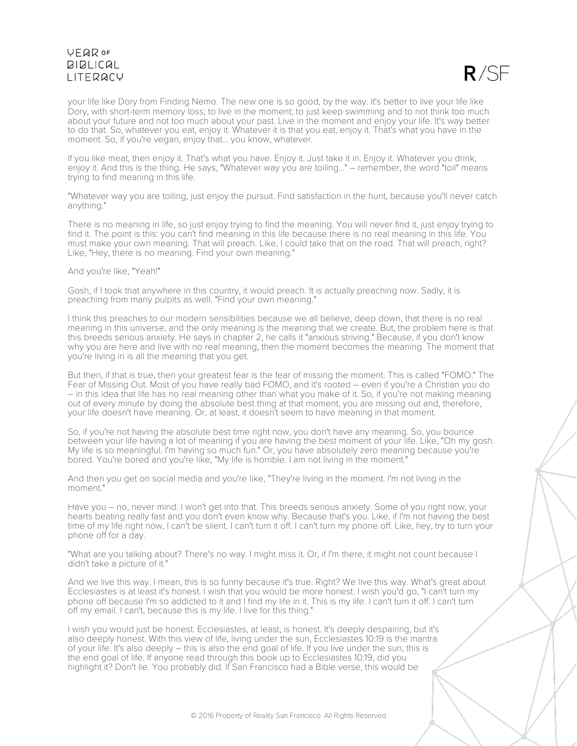

your life like Dory from Finding Nemo. The new one is so good, by the way. It's better to live your life like Dory, with short-term memory loss; to live in the moment; to just keep swimming and to not think too much about your future and not too much about your past. Live in the moment and enjoy your life. It's way better to do that. So, whatever you eat, enjoy it. Whatever it is that you eat, enjoy it. That's what you have in the moment. So, if you're vegan, enjoy that... you know, whatever.

If you like meat, then enjoy it. That's what you have. Enjoy it. Just take it in. Enjoy it. Whatever you drink, enjoy it. And this is the thing. He says, "Whatever way you are toiling..." – remember, the word "toil" means trying to find meaning in this life.

"Whatever way you are toiling, just enjoy the pursuit. Find satisfaction in the hunt, because you'll never catch anything."

There is no meaning in life, so just enjoy trying to find the meaning. You will never find it, just enjoy trying to find it. The point is this: you can't find meaning in this life because there is no real meaning in this life. You must make your own meaning. That will preach. Like, I could take that on the road. That will preach, right? Like, "Hey, there is no meaning. Find your own meaning."

#### And you're like, "Yeah!"

Gosh, if I took that anywhere in this country, it would preach. It is actually preaching now. Sadly, it is preaching from many pulpits as well. "Find your own meaning."

I think this preaches to our modern sensibilities because we all believe, deep down, that there is no real meaning in this universe, and the only meaning is the meaning that we create. But, the problem here is that this breeds serious anxiety. He says in chapter 2, he calls it "anxious striving." Because, if you don't know why you are here and live with no real meaning, then the moment becomes the meaning. The moment that you're living in is all the meaning that you get.

But then, if that is true, then your greatest fear is the fear of missing the moment. This is called "FOMO." The Fear of Missing Out. Most of you have really bad FOMO, and it's rooted – even if you're a Christian you do – in this idea that life has no real meaning other than what you make of it. So, if you're not making meaning out of every minute by doing the absolute best thing at that moment, you are missing out and, therefore, your life doesn't have meaning. Or, at least, it doesn't seem to have meaning in that moment.

So, if you're not having the absolute best time right now, you don't have any meaning. So, you bounce between your life having a lot of meaning if you are having the best moment of your life. Like, "Oh my gosh. My life is so meaningful. I'm having so much fun." Or, you have absolutely zero meaning because you're bored. You're bored and you're like, "My life is horrible. I am not living in the moment."

And then you get on social media and you're like, "They're living in the moment. I'm not living in the moment."

Have you – no, never mind. I won't get into that. This breeds serious anxiety. Some of you right now, your hearts beating really fast and you don't even know why. Because that's you. Like, if I'm not having the best time of my life right now, I can't be silent. I can't turn it off. I can't turn my phone off. Like, hey, try to turn your phone off for a day.

"What are you talking about? There's no way. I might miss it. Or, if I'm there, it might not count because I didn't take a picture of it."

And we live this way. I mean, this is so funny because it's true. Right? We live this way. What's great about Ecclesiastes is at least it's honest. I wish that you would be more honest. I wish you'd go, "I can't turn my phone off because I'm so addicted to it and I find my life in it. This is my life. I can't turn it off. I can't turn off my email. I can't, because this is my life. I live for this thing."

I wish you would just be honest. Ecclesiastes, at least, is honest. It's deeply despairing, but it's also deeply honest. With this view of life, living under the sun, Ecclesiastes 10:19 is the mantra of your life. It's also deeply – this is also the end goal of life. If you live under the sun, this is the end goal of life. If anyone read through this book up to Ecclesiastes 10:19, did you highlight it? Don't lie. You probably did. If San Francisco had a Bible verse, this would be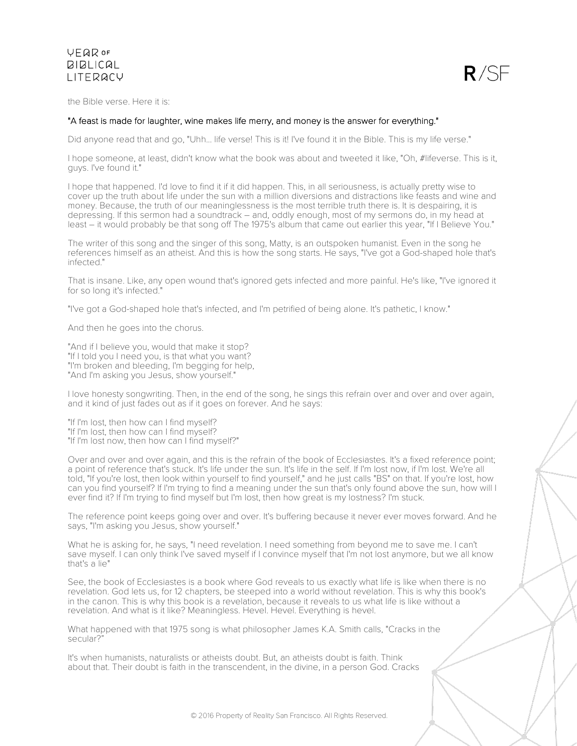

the Bible verse. Here it is:

### "A feast is made for laughter, wine makes life merry, and money is the answer for everything."

Did anyone read that and go, "Uhh... life verse! This is it! I've found it in the Bible. This is my life verse."

I hope someone, at least, didn't know what the book was about and tweeted it like, "Oh, #lifeverse. This is it, guys. I've found it."

I hope that happened. I'd love to find it if it did happen. This, in all seriousness, is actually pretty wise to cover up the truth about life under the sun with a million diversions and distractions like feasts and wine and money. Because, the truth of our meaninglessness is the most terrible truth there is. It is despairing, it is depressing. If this sermon had a soundtrack – and, oddly enough, most of my sermons do, in my head at least – it would probably be that song off The 1975's album that came out earlier this year, "If I Believe You."

The writer of this song and the singer of this song, Matty, is an outspoken humanist. Even in the song he references himself as an atheist. And this is how the song starts. He says, "I've got a God-shaped hole that's infected."

That is insane. Like, any open wound that's ignored gets infected and more painful. He's like, "I've ignored it for so long it's infected."

"I've got a God-shaped hole that's infected, and I'm petrified of being alone. It's pathetic, I know."

And then he goes into the chorus.

"And if I believe you, would that make it stop? "If I told you I need you, is that what you want? "I'm broken and bleeding, I'm begging for help, "And I'm asking you Jesus, show yourself."

I love honesty songwriting. Then, in the end of the song, he sings this refrain over and over and over again, and it kind of just fades out as if it goes on forever. And he says:

"If I'm lost, then how can I find myself? "If I'm lost, then how can I find myself? "If I'm lost now, then how can I find myself?"

Over and over and over again, and this is the refrain of the book of Ecclesiastes. It's a fixed reference point; a point of reference that's stuck. It's life under the sun. It's life in the self. If I'm lost now, if I'm lost. We're all told, "If you're lost, then look within yourself to find yourself," and he just calls "BS" on that. If you're lost, how can you find yourself? If I'm trying to find a meaning under the sun that's only found above the sun, how will I ever find it? If I'm trying to find myself but I'm lost, then how great is my lostness? I'm stuck.

The reference point keeps going over and over. It's buffering because it never ever moves forward. And he says, "I'm asking you Jesus, show yourself."

What he is asking for, he says, "I need revelation. I need something from beyond me to save me. I can't save myself. I can only think I've saved myself if I convince myself that I'm not lost anymore, but we all know that's a lie"

See, the book of Ecclesiastes is a book where God reveals to us exactly what life is like when there is no revelation. God lets us, for 12 chapters, be steeped into a world without revelation. This is why this book's in the canon. This is why this book is a revelation, because it reveals to us what life is like without a revelation. And what is it like? Meaningless. Hevel. Hevel. Everything is hevel.

What happened with that 1975 song is what philosopher James K.A. Smith calls, "Cracks in the secular?"

It's when humanists, naturalists or atheists doubt. But, an atheists doubt is faith. Think about that. Their doubt is faith in the transcendent, in the divine, in a person God. Cracks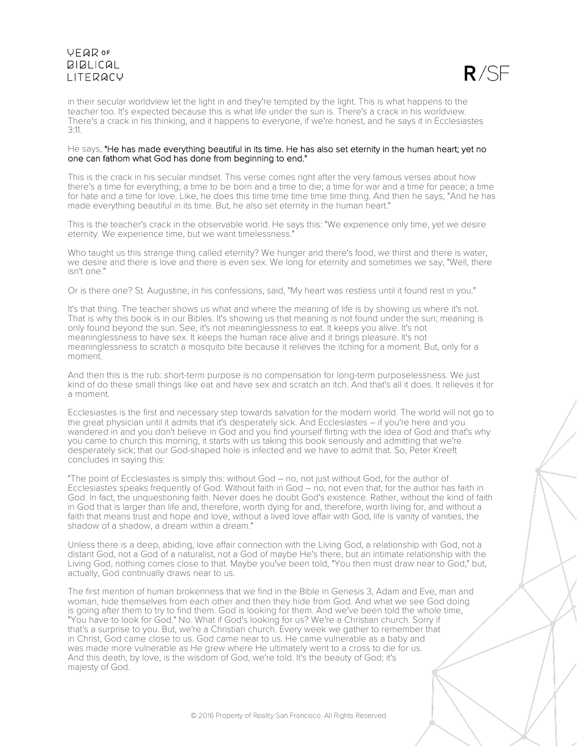

in their secular worldview let the light in and they're tempted by the light. This is what happens to the teacher too. It's expected because this is what life under the sun is. There's a crack in his worldview. There's a crack in his thinking, and it happens to everyone, if we're honest, and he says it in Ecclesiastes 3:11.

#### He says, "He has made everything beautiful in its time. He has also set eternity in the human heart; yet no one can fathom what God has done from beginning to end."

This is the crack in his secular mindset. This verse comes right after the very famous verses about how there's a time for everything; a time to be born and a time to die; a time for war and a time for peace; a time for hate and a time for love. Like, he does this time time time time time thing. And then he says, "And he has made everything beautiful in its time. But, he also set eternity in the human heart."

This is the teacher's crack in the observable world. He says this: "We experience only time, yet we desire eternity. We experience time, but we want timelessness."

Who taught us this strange thing called eternity? We hunger and there's food, we thirst and there is water, we desire and there is love and there is even sex. We long for eternity and sometimes we say, "Well, there isn't one."

Or is there one? St. Augustine, in his confessions, said, "My heart was restless until it found rest in you."

It's that thing. The teacher shows us what and where the meaning of life is by showing us where it's not. That is why this book is in our Bibles. It's showing us that meaning is not found under the sun; meaning is only found beyond the sun. See, it's not meaninglessness to eat. It keeps you alive. It's not meaninglessness to have sex. It keeps the human race alive and it brings pleasure. It's not meaninglessness to scratch a mosquito bite because it relieves the itching for a moment. But, only for a moment.

And then this is the rub: short-term purpose is no compensation for long-term purposelessness. We just kind of do these small things like eat and have sex and scratch an itch. And that's all it does. It relieves it for a moment.

Ecclesiastes is the first and necessary step towards salvation for the modern world. The world will not go to the great physician until it admits that it's desperately sick. And Ecclesiastes – if you're here and you wandered in and you don't believe in God and you find yourself flirting with the idea of God and that's why you came to church this morning, it starts with us taking this book seriously and admitting that we're desperately sick; that our God-shaped hole is infected and we have to admit that. So, Peter Kreeft concludes in saying this:

"The point of Ecclesiastes is simply this: without God – no, not just without God, for the author of Ecclesiastes speaks frequently of God. Without faith in God – no, not even that, for the author has faith in God. In fact, the unquestioning faith. Never does he doubt God's existence. Rather, without the kind of faith in God that is larger than life and, therefore, worth dying for and, therefore, worth living for, and without a faith that means trust and hope and love, without a lived love affair with God, life is vanity of vanities, the shadow of a shadow, a dream within a dream."

Unless there is a deep, abiding, love affair connection with the Living God, a relationship with God, not a distant God, not a God of a naturalist, not a God of maybe He's there, but an intimate relationship with the Living God, nothing comes close to that. Maybe you've been told, "You then must draw near to God," but, actually, God continually draws near to us.

The first mention of human brokenness that we find in the Bible in Genesis 3, Adam and Eve, man and woman, hide themselves from each other and then they hide from God. And what we see God doing is going after them to try to find them. God is looking for them. And we've been told the whole time, "You have to look for God." No. What if God's looking for us? We're a Christian church. Sorry if that's a surprise to you. But, we're a Christian church. Every week we gather to remember that in Christ, God came close to us. God came near to us. He came vulnerable as a baby and was made more vulnerable as He grew where He ultimately went to a cross to die for us. And this death, by love, is the wisdom of God, we're told. It's the beauty of God; it's majesty of God.